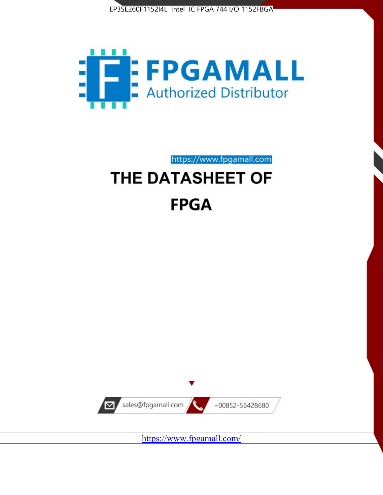



https://www.fpgamall.com

# THE DATASHEET OF **FPGA**



<https://www.fpgamall.com/>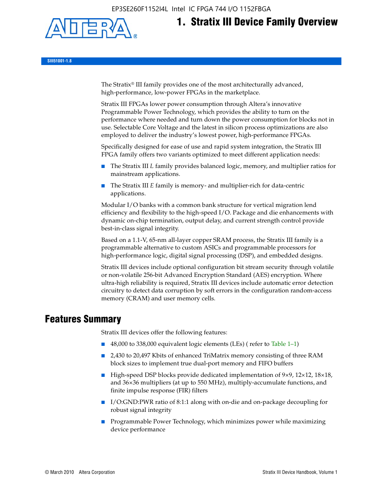EP3SE260F1152I4L Intel IC FPGA 744 I/O 1152FBGA



# **1. Stratix III Device Family Overview**

**SIII51001-1.8**

The Stratix® III family provides one of the most architecturally advanced, high-performance, low-power FPGAs in the marketplace.

Stratix III FPGAs lower power consumption through Altera's innovative Programmable Power Technology, which provides the ability to turn on the performance where needed and turn down the power consumption for blocks not in use. Selectable Core Voltage and the latest in silicon process optimizations are also employed to deliver the industry's lowest power, high-performance FPGAs.

Specifically designed for ease of use and rapid system integration, the Stratix III FPGA family offers two variants optimized to meet different application needs:

- The Stratix III *L* family provides balanced logic, memory, and multiplier ratios for mainstream applications.
- The Stratix III *E* family is memory- and multiplier-rich for data-centric applications.

Modular I/O banks with a common bank structure for vertical migration lend efficiency and flexibility to the high-speed I/O. Package and die enhancements with dynamic on-chip termination, output delay, and current strength control provide best-in-class signal integrity.

Based on a 1.1-V, 65-nm all-layer copper SRAM process, the Stratix III family is a programmable alternative to custom ASICs and programmable processors for high-performance logic, digital signal processing (DSP), and embedded designs.

Stratix III devices include optional configuration bit stream security through volatile or non-volatile 256-bit Advanced Encryption Standard (AES) encryption. Where ultra-high reliability is required, Stratix III devices include automatic error detection circuitry to detect data corruption by soft errors in the configuration random-access memory (CRAM) and user memory cells.

## **Features Summary**

Stratix III devices offer the following features:

- 48,000 to 338,000 equivalent logic elements (LEs) (refer to Table 1–1)
- 2,430 to 20,497 Kbits of enhanced TriMatrix memory consisting of three RAM block sizes to implement true dual-port memory and FIFO buffers
- High-speed DSP blocks provide dedicated implementation of 9×9, 12×12, 18×18, and 36×36 multipliers (at up to 550 MHz), multiply-accumulate functions, and finite impulse response (FIR) filters
- I/O:GND:PWR ratio of 8:1:1 along with on-die and on-package decoupling for robust signal integrity
- Programmable Power Technology, which minimizes power while maximizing device performance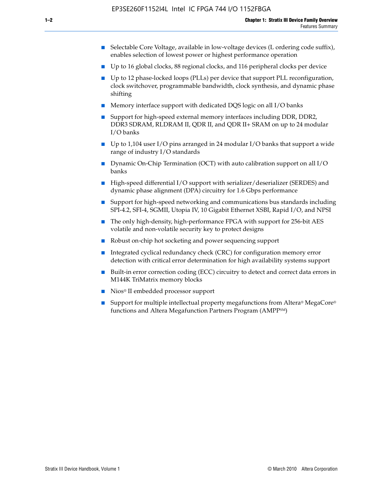- Selectable Core Voltage, available in low-voltage devices (L ordering code suffix), enables selection of lowest power or highest performance operation
- Up to 16 global clocks, 88 regional clocks, and 116 peripheral clocks per device
- Up to 12 phase-locked loops (PLLs) per device that support PLL reconfiguration, clock switchover, programmable bandwidth, clock synthesis, and dynamic phase shifting
- Memory interface support with dedicated DQS logic on all I/O banks
- Support for high-speed external memory interfaces including DDR, DDR2, DDR3 SDRAM, RLDRAM II, QDR II, and QDR II+ SRAM on up to 24 modular I/O banks
- Up to 1,104 user I/O pins arranged in 24 modular I/O banks that support a wide range of industry I/O standards
- Dynamic On-Chip Termination (OCT) with auto calibration support on all  $I/O$ banks
- High-speed differential I/O support with serializer/deserializer (SERDES) and dynamic phase alignment (DPA) circuitry for 1.6 Gbps performance
- Support for high-speed networking and communications bus standards including SPI-4.2, SFI-4, SGMII, Utopia IV, 10 Gigabit Ethernet XSBI, Rapid I/O, and NPSI
- The only high-density, high-performance FPGA with support for 256-bit AES volatile and non-volatile security key to protect designs
- Robust on-chip hot socketing and power sequencing support
- Integrated cyclical redundancy check (CRC) for configuration memory error detection with critical error determination for high availability systems support
- Built-in error correction coding (ECC) circuitry to detect and correct data errors in M144K TriMatrix memory blocks
- Nios<sup>®</sup> II embedded processor support
- Support for multiple intellectual property megafunctions from Altera® MegaCore® functions and Altera Megafunction Partners Program (AMPPSM)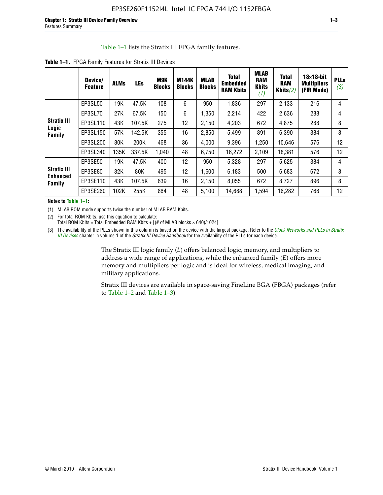#### Table 1–1 lists the Stratix III FPGA family features.

|                                | Device/<br><b>Feature</b> | <b>ALMs</b> | <b>LEs</b> | <b>M9K</b><br><b>Blocks</b> | M144K<br><b>Blocks</b> | <b>MLAB</b><br><b>Blocks</b> | <b>Total</b><br><b>Embedded</b><br><b>RAM Kbits</b> | <b>MLAB</b><br><b>RAM</b><br><b>Kbits</b><br>(1) | <b>Total</b><br><b>RAM</b><br>Kbits $(2)$ | $18\times18$ -bit<br><b>Multipliers</b><br>(FIR Mode) | <b>PLLs</b><br>(3) |
|--------------------------------|---------------------------|-------------|------------|-----------------------------|------------------------|------------------------------|-----------------------------------------------------|--------------------------------------------------|-------------------------------------------|-------------------------------------------------------|--------------------|
|                                | EP3SL50                   | 19K         | 47.5K      | 108                         | 6                      | 950                          | 1,836                                               | 297                                              | 2,133                                     | 216                                                   | 4                  |
|                                | EP3SL70                   | 27K         | 67.5K      | 150                         | 6                      | 1,350                        | 2,214                                               | 422                                              | 2,636                                     | 288                                                   | 4                  |
| <b>Stratix III</b>             | EP3SL110                  | 43K         | 107.5K     | 275                         | 12                     | 2,150                        | 4,203                                               | 672                                              | 4,875                                     | 288                                                   | 8                  |
| Logic<br>Family                | EP3SL150                  | 57K         | 142.5K     | 355                         | 16                     | 2,850                        | 5,499                                               | 891                                              | 6,390                                     | 384                                                   | 8                  |
|                                | EP3SL200                  | 80K         | 200K       | 468                         | 36                     | 4,000                        | 9,396                                               | 1,250                                            | 10,646                                    | 576                                                   | 12                 |
|                                | EP3SL340                  | 135K        | 337.5K     | 1,040                       | 48                     | 6,750                        | 16,272                                              | 2,109                                            | 18,381                                    | 576                                                   | 12                 |
|                                | EP3SE50                   | 19K         | 47.5K      | 400                         | 12                     | 950                          | 5,328                                               | 297                                              | 5,625                                     | 384                                                   | 4                  |
| <b>Stratix III</b><br>Enhanced | EP3SE80                   | 32K         | 80K        | 495                         | 12                     | 1,600                        | 6,183                                               | 500                                              | 6,683                                     | 672                                                   | 8                  |
| Family                         | EP3SE110                  | 43K         | 107.5K     | 639                         | 16                     | 2,150                        | 8.055                                               | 672                                              | 8,727                                     | 896                                                   | 8                  |
|                                | EP3SE260                  | 102K        | 255K       | 864                         | 48                     | 5,100                        | 14,688                                              | 1,594                                            | 16,282                                    | 768                                                   | 12                 |

**Table 1–1.** FPGA Family Features for Stratix III Devices

**Notes to Table 1–1:**

(1) MLAB ROM mode supports twice the number of MLAB RAM Kbits.

(2) For total ROM Kbits, use this equation to calculate: Total ROM Kbits = Total Embedded RAM Kbits +  $[(# of MLAB blocks × 640)/1024]$ 

(3) The availability of the PLLs shown in this column is based on the device with the largest package. Refer to the *[Clock Networks and PLLs in Stratix](http://www.altera.com/literature/hb/stx3/stx3_siii51006.pdf)  [III Devices](http://www.altera.com/literature/hb/stx3/stx3_siii51006.pdf)* chapter in volume 1 of the *Stratix III Device Handbook* for the availability of the PLLs for each device.

> The Stratix III logic family (*L*) offers balanced logic, memory, and multipliers to address a wide range of applications, while the enhanced family (*E*) offers more memory and multipliers per logic and is ideal for wireless, medical imaging, and military applications.

Stratix III devices are available in space-saving FineLine BGA (FBGA) packages (refer to Table 1–2 and Table 1–3).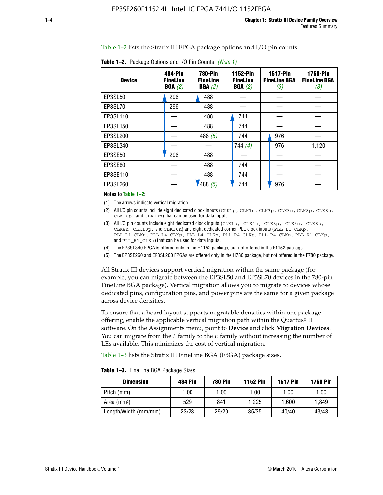Table 1–2 lists the Stratix III FPGA package options and I/O pin counts.

| <b>Device</b> | 484-Pin<br><b>FineLine</b><br>BGA(2) | <b>780-Pin</b><br><b>FineLine</b><br>BGA(2) | 1152-Pin<br><b>FineLine</b><br>BGA(2) | <b>1517-Pin</b><br><b>FineLine BGA</b><br>(3) | <b>1760-Pin</b><br><b>FineLine BGA</b><br>(3) |
|---------------|--------------------------------------|---------------------------------------------|---------------------------------------|-----------------------------------------------|-----------------------------------------------|
| EP3SL50       | 296                                  | 488                                         |                                       |                                               |                                               |
| EP3SL70       | 296                                  | 488                                         |                                       |                                               |                                               |
| EP3SL110      |                                      | 488                                         | 744                                   |                                               |                                               |
| EP3SL150      |                                      | 488                                         | 744                                   |                                               |                                               |
| EP3SL200      |                                      | 488 $(5)$                                   | 744                                   | 976                                           |                                               |
| EP3SL340      |                                      |                                             | 744 $(4)$                             | 976                                           | 1,120                                         |
| EP3SE50       | 296                                  | 488                                         |                                       |                                               |                                               |
| EP3SE80       |                                      | 488                                         | 744                                   |                                               |                                               |
| EP3SE110      |                                      | 488                                         | 744                                   |                                               |                                               |
| EP3SE260      |                                      | '488(5)                                     | 744                                   | 976                                           |                                               |

**Table 1–2.** Package Options and I/O Pin Counts *(Note 1)*

**Notes to Table 1–2:**

(1) The arrows indicate vertical migration.

- (2) All I/O pin counts include eight dedicated clock inputs (CLK1p, CLK1n, CLK3p, CLK3n, CLK8p, CLK8n, CLK10p, and CLK10n) that can be used for data inputs.
- (3) All I/O pin counts include eight dedicated clock inputs (CLK1p, CLK1n, CLK3p, CLK3n, CLK8p, CLK8n, CLK10p, and CLK10n) and eight dedicated corner PLL clock inputs (PLL\_L1\_CLKp, PLL\_L1\_CLKn, PLL\_L4\_CLKp, PLL\_L4\_CLKn, PLL\_R4\_CLKp, PLL\_R4\_CLKn, PLL\_R1\_CLKp, and PLL\_R1\_CLKn) that can be used for data inputs.
- (4) The EP3SL340 FPGA is offered only in the H1152 package, but not offered in the F1152 package.
- (5) The EP3SE260 and EP3SL200 FPGAs are offered only in the H780 package, but not offered in the F780 package.

All Stratix III devices support vertical migration within the same package (for example, you can migrate between the EP3SL50 and EP3SL70 devices in the 780-pin FineLine BGA package). Vertical migration allows you to migrate to devices whose dedicated pins, configuration pins, and power pins are the same for a given package across device densities.

To ensure that a board layout supports migratable densities within one package offering, enable the applicable vertical migration path within the Quartus® II software. On the Assignments menu, point to **Device** and click **Migration Devices**. You can migrate from the *L* family to the *E* family without increasing the number of LEs available. This minimizes the cost of vertical migration.

Table 1–3 lists the Stratix III FineLine BGA (FBGA) package sizes.

|  |  | <b>Table 1-3.</b> FineLine BGA Package Sizes |
|--|--|----------------------------------------------|
|--|--|----------------------------------------------|

| <b>Dimension</b>     | <b>484 Pin</b> | 780 Pin | <b>1152 Pin</b> | <b>1517 Pin</b> | <b>1760 Pin</b> |
|----------------------|----------------|---------|-----------------|-----------------|-----------------|
| Pitch (mm)           | 1.00           | 1.00    | 1.00            | 1.00            | 1.00            |
| Area $(mm^2)$        | 529            | 841     | 1.225           | 1.600           | 1.849           |
| Length/Width (mm/mm) | 23/23          | 29/29   | 35/35           | 40/40           | 43/43           |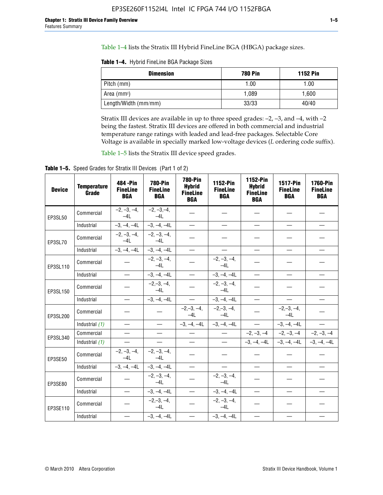Table 1–4 lists the Stratix III Hybrid FineLine BGA (HBGA) package sizes.

**Table 1–4.** Hybrid FineLine BGA Package Sizes

| <b>Dimension</b>        | <b>780 Pin</b> | <b>1152 Pin</b> |
|-------------------------|----------------|-----------------|
| Pitch (mm)              | 1.00           | 1.00            |
| Area (mm <sup>2</sup> ) | 1.089          | 1.600           |
| Length/Width (mm/mm)    | 33/33          | 40/40           |

Stratix III devices are available in up to three speed grades: –2, –3, and –4, with –2 being the fastest. Stratix III devices are offered in both commercial and industrial temperature range ratings with leaded and lead-free packages. Selectable Core Voltage is available in specially marked low-voltage devices (*L* ordering code suffix).

Table 1–5 lists the Stratix III device speed grades.

Table 1-5. Speed Grades for Stratix III Devices (Part 1 of 2)

| <b>Device</b> | <b>Temperature</b><br>Grade | 484 - Pin<br><b>FineLine</b><br><b>BGA</b> | <b>780-Pin</b><br><b>FineLine</b><br><b>BGA</b> | 780-Pin<br><b>Hybrid</b><br><b>FineLine</b><br><b>BGA</b> | 1152-Pin<br><b>FineLine</b><br><b>BGA</b> | 1152-Pin<br><b>Hybrid</b><br><b>FineLine</b><br><b>BGA</b> | 1517-Pin<br><b>FineLine</b><br><b>BGA</b> | <b>1760-Pin</b><br><b>FineLine</b><br><b>BGA</b> |
|---------------|-----------------------------|--------------------------------------------|-------------------------------------------------|-----------------------------------------------------------|-------------------------------------------|------------------------------------------------------------|-------------------------------------------|--------------------------------------------------|
| EP3SL50       | Commercial                  | $-2, -3, -4,$<br>$-41$                     | $-2, -3, -4,$<br>$-4L$                          |                                                           |                                           |                                                            |                                           |                                                  |
|               | Industrial                  | $-3, -4, -4L$                              | $-3, -4, -4L$                                   | $\equiv$                                                  | $\equiv$                                  | $\overline{\phantom{0}}$                                   | $\overline{\phantom{0}}$                  | $\overline{\phantom{0}}$                         |
| EP3SL70       | Commercial                  | $-2, -3, -4,$<br>$-41$                     | $-2, -3, -4,$<br>$-41$                          |                                                           |                                           |                                                            |                                           |                                                  |
|               | Industrial                  | $-3, -4, -4L$                              | $-3, -4, -4L$                                   | $\qquad \qquad -$                                         |                                           | $\overline{\phantom{0}}$                                   | $\equiv$                                  |                                                  |
| EP3SL110      | Commercial                  |                                            | $-2, -3, -4,$<br>$-4L$                          |                                                           | $-2, -3, -4,$<br>$-4L$                    |                                                            |                                           |                                                  |
|               | Industrial                  | $\overline{\phantom{0}}$                   | $-3, -4, -4L$                                   | $\frac{1}{1}$                                             | $-3, -4, -4L$                             | $\equiv$                                                   | $\equiv$                                  | $\overline{\phantom{0}}$                         |
| EP3SL150      | Commercial                  |                                            | $-2, -3, -4,$<br>$-41$                          |                                                           | $-2, -3, -4,$<br>$-41$                    |                                                            |                                           |                                                  |
|               | Industrial                  |                                            | $-3, -4, -4L$                                   | $\frac{1}{2}$                                             | $-3, -4, -4L$                             |                                                            |                                           | $\equiv$                                         |
| EP3SL200      | Commercial                  |                                            |                                                 | $-2, -3, -4,$<br>$-4L$                                    | $-2, -3, -4,$<br>$-4L$                    |                                                            | $-2,-3,-4,$<br>$-4L$                      |                                                  |
|               | Industrial (1)              | $\equiv$                                   | $\equiv$                                        | $-3, -4, -4L$                                             | $-3, -4, -4L$                             | $\frac{1}{1}$                                              | $-3, -4, -4L$                             | $\frac{1}{1}$                                    |
| EP3SL340      | Commercial                  |                                            | $\equiv$                                        |                                                           | $\frac{1}{2}$                             |                                                            | $-2, -3, -4$ $-2, -3, -4$                 | $-2, -3, -4$                                     |
|               | Industrial $(1)$            |                                            |                                                 | $\overline{\phantom{0}}$                                  | $-$                                       |                                                            | $-3, -4, -4$ $-3, -4, -4$                 | $-3, -4, -4L$                                    |
| EP3SE50       | Commercial                  | $-2, -3, -4,$<br>$-4L$                     | $-2, -3, -4,$<br>$-4L$                          |                                                           |                                           |                                                            |                                           |                                                  |
|               | Industrial                  | $-3, -4, -4L$                              | $-3, -4, -4L$                                   | $\equiv$                                                  | $\overline{\phantom{0}}$                  | $\overline{\phantom{0}}$                                   | $\overline{\phantom{0}}$                  | $\overline{\phantom{0}}$                         |
| EP3SE80       | Commercial                  |                                            | $-2, -3, -4,$<br>$-4L$                          |                                                           | $-2, -3, -4,$<br>$-4L$                    |                                                            |                                           |                                                  |
|               | Industrial                  |                                            | $-3, -4, -4L$                                   |                                                           | $-3, -4, -4L$                             |                                                            | $\equiv$                                  |                                                  |
| EP3SE110      | Commercial                  |                                            | $-2, -3, -4,$<br>$-4L$                          |                                                           | $-2, -3, -4,$<br>$-41$                    |                                                            |                                           |                                                  |
|               | Industrial                  |                                            | $-3, -4, -4L$                                   | $\overline{\phantom{0}}$                                  | $-3, -4, -4L$                             |                                                            |                                           |                                                  |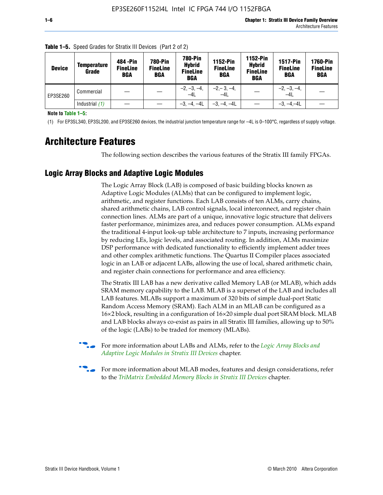| <b>Device</b> | Temperature<br>Grade | 484 - Pin<br><b>FineLine</b><br><b>BGA</b> | <b>780-Pin</b><br><b>FineLine</b><br>BGA | 780-Pin<br><b>Hybrid</b><br><b>FineLine</b><br><b>BGA</b> | 1152-Pin<br><b>FineLine</b><br><b>BGA</b> | <b>1152-Pin</b><br><b>Hybrid</b><br><b>FineLine</b><br><b>BGA</b> | <b>1517-Pin</b><br><b>FineLine</b><br>BGA | <b>1760-Pin</b><br><b>FineLine</b><br>BGA |
|---------------|----------------------|--------------------------------------------|------------------------------------------|-----------------------------------------------------------|-------------------------------------------|-------------------------------------------------------------------|-------------------------------------------|-------------------------------------------|
| EP3SE260      | Commercial           |                                            |                                          | $-2, -3, -4,$<br>$-4L$                                    | $-2, -3, -4,$<br>$-4L$                    |                                                                   | $-2, -3, -4,$<br>$-4L$                    |                                           |
|               | Industrial $(1)$     |                                            |                                          | $-3, -4, -4L$                                             | $-3, -4, -4L$                             |                                                                   | $-3. -4 -4L$                              |                                           |

**Table 1–5.** Speed Grades for Stratix III Devices (Part 2 of 2)

**Note to Table 1–5:**

(1) For EP3SL340, EP3SL200, and EP3SE260 devices, the industrial junction temperature range for –4L is 0–100°C, regardless of supply voltage.

# **Architecture Features**

The following section describes the various features of the Stratix III family FPGAs.

### **Logic Array Blocks and Adaptive Logic Modules**

The Logic Array Block (LAB) is composed of basic building blocks known as Adaptive Logic Modules (ALMs) that can be configured to implement logic, arithmetic, and register functions. Each LAB consists of ten ALMs, carry chains, shared arithmetic chains, LAB control signals, local interconnect, and register chain connection lines. ALMs are part of a unique, innovative logic structure that delivers faster performance, minimizes area, and reduces power consumption. ALMs expand the traditional 4-input look-up table architecture to 7 inputs, increasing performance by reducing LEs, logic levels, and associated routing. In addition, ALMs maximize DSP performance with dedicated functionality to efficiently implement adder trees and other complex arithmetic functions. The Quartus II Compiler places associated logic in an LAB or adjacent LABs, allowing the use of local, shared arithmetic chain, and register chain connections for performance and area efficiency.

The Stratix III LAB has a new derivative called Memory LAB (or MLAB), which adds SRAM memory capability to the LAB. MLAB is a superset of the LAB and includes all LAB features. MLABs support a maximum of 320 bits of simple dual-port Static Random Access Memory (SRAM). Each ALM in an MLAB can be configured as a 16×2 block, resulting in a configuration of 16×20 simple dual port SRAM block. MLAB and LAB blocks always co-exist as pairs in all Stratix III families, allowing up to 50% of the logic (LABs) to be traded for memory (MLABs).



f For more information about LABs and ALMs, refer to the *[Logic Array Blocks and](http://www.altera.com/literature/hb/stx3/stx3_siii51002.pdf)  [Adaptive Logic Modules in Stratix III Devices](http://www.altera.com/literature/hb/stx3/stx3_siii51002.pdf)* chapter.



For more information about MLAB modes, features and design considerations, refer to the *[TriMatrix Embedded Memory Blocks in Stratix III Devices](http://www.altera.com/literature/hb/stx3/stx3_siii51004.pdf)* chapter.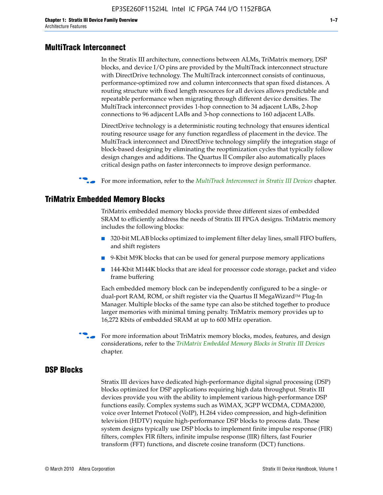#### **MultiTrack Interconnect**

In the Stratix III architecture, connections between ALMs, TriMatrix memory, DSP blocks, and device I/O pins are provided by the MultiTrack interconnect structure with DirectDrive technology. The MultiTrack interconnect consists of continuous, performance-optimized row and column interconnects that span fixed distances. A routing structure with fixed length resources for all devices allows predictable and repeatable performance when migrating through different device densities. The MultiTrack interconnect provides 1-hop connection to 34 adjacent LABs, 2-hop connections to 96 adjacent LABs and 3-hop connections to 160 adjacent LABs.

DirectDrive technology is a deterministic routing technology that ensures identical routing resource usage for any function regardless of placement in the device. The MultiTrack interconnect and DirectDrive technology simplify the integration stage of block-based designing by eliminating the reoptimization cycles that typically follow design changes and additions. The Quartus II Compiler also automatically places critical design paths on faster interconnects to improve design performance.

#### **For more information, refer to the** *[MultiTrack Interconnect in Stratix III Devices](http://www.altera.com/literature/hb/stx3/stx3_siii51003.pdf)* **chapter.**

#### **TriMatrix Embedded Memory Blocks**

TriMatrix embedded memory blocks provide three different sizes of embedded SRAM to efficiently address the needs of Stratix III FPGA designs. TriMatrix memory includes the following blocks:

- 320-bit MLAB blocks optimized to implement filter delay lines, small FIFO buffers, and shift registers
- 9-Kbit M9K blocks that can be used for general purpose memory applications
- 144-Kbit M144K blocks that are ideal for processor code storage, packet and video frame buffering

Each embedded memory block can be independently configured to be a single- or dual-port RAM, ROM, or shift register via the Quartus II MegaWizard™ Plug-In Manager. Multiple blocks of the same type can also be stitched together to produce larger memories with minimal timing penalty. TriMatrix memory provides up to 16,272 Kbits of embedded SRAM at up to 600 MHz operation.

For more information about TriMatrix memory blocks, modes, features, and design considerations, refer to the *[TriMatrix Embedded Memory Blocks in Stratix III Devices](http://www.altera.com/literature/hb/stx3/stx3_siii51004.pdf)* chapter.

#### **DSP Blocks**

Stratix III devices have dedicated high-performance digital signal processing (DSP) blocks optimized for DSP applications requiring high data throughput. Stratix III devices provide you with the ability to implement various high-performance DSP functions easily. Complex systems such as WiMAX, 3GPP WCDMA, CDMA2000, voice over Internet Protocol (VoIP), H.264 video compression, and high-definition television (HDTV) require high-performance DSP blocks to process data. These system designs typically use DSP blocks to implement finite impulse response (FIR) filters, complex FIR filters, infinite impulse response (IIR) filters, fast Fourier transform (FFT) functions, and discrete cosine transform (DCT) functions.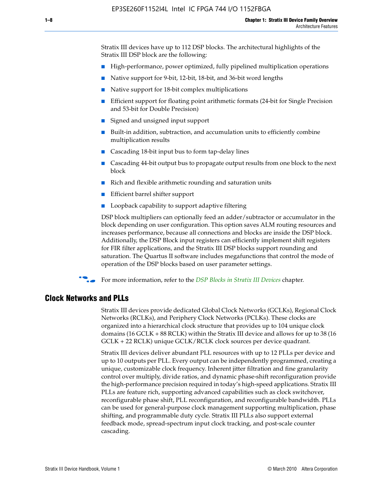Stratix III devices have up to 112 DSP blocks. The architectural highlights of the Stratix III DSP block are the following:

- High-performance, power optimized, fully pipelined multiplication operations
- Native support for 9-bit, 12-bit, 18-bit, and 36-bit word lengths
- Native support for 18-bit complex multiplications
- Efficient support for floating point arithmetic formats (24-bit for Single Precision and 53-bit for Double Precision)
- Signed and unsigned input support
- Built-in addition, subtraction, and accumulation units to efficiently combine multiplication results
- Cascading 18-bit input bus to form tap-delay lines
- Cascading 44-bit output bus to propagate output results from one block to the next block
- Rich and flexible arithmetic rounding and saturation units
- Efficient barrel shifter support
- Loopback capability to support adaptive filtering

DSP block multipliers can optionally feed an adder/subtractor or accumulator in the block depending on user configuration. This option saves ALM routing resources and increases performance, because all connections and blocks are inside the DSP block. Additionally, the DSP Block input registers can efficiently implement shift registers for FIR filter applications, and the Stratix III DSP blocks support rounding and saturation. The Quartus II software includes megafunctions that control the mode of operation of the DSP blocks based on user parameter settings.

f For more information, refer to the *[DSP Blocks in Stratix III Devices](http://www.altera.com/literature/hb/stx3/stx3_siii51005.pdf)* chapter.

#### **Clock Networks and PLLs**

Stratix III devices provide dedicated Global Clock Networks (GCLKs), Regional Clock Networks (RCLKs), and Periphery Clock Networks (PCLKs). These clocks are organized into a hierarchical clock structure that provides up to 104 unique clock domains (16 GCLK + 88 RCLK) within the Stratix III device and allows for up to 38 (16 GCLK + 22 RCLK) unique GCLK/RCLK clock sources per device quadrant.

Stratix III devices deliver abundant PLL resources with up to 12 PLLs per device and up to 10 outputs per PLL. Every output can be independently programmed, creating a unique, customizable clock frequency. Inherent jitter filtration and fine granularity control over multiply, divide ratios, and dynamic phase-shift reconfiguration provide the high-performance precision required in today's high-speed applications. Stratix III PLLs are feature rich, supporting advanced capabilities such as clock switchover, reconfigurable phase shift, PLL reconfiguration, and reconfigurable bandwidth. PLLs can be used for general-purpose clock management supporting multiplication, phase shifting, and programmable duty cycle. Stratix III PLLs also support external feedback mode, spread-spectrum input clock tracking, and post-scale counter cascading.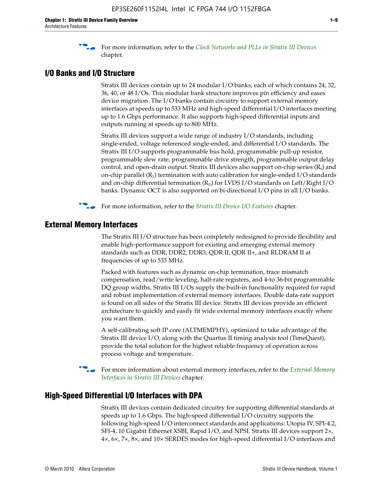f For more information, refer to the *[Clock Networks and PLLs in Stratix III Devices](http://www.altera.com/literature/hb/stx3/stx3_siii51006.pdf)* chapter.

## **I/O Banks and I/O Structure**

Stratix III devices contain up to 24 modular I/O banks, each of which contains 24, 32, 36, 40, or 48 I/Os. This modular bank structure improves pin efficiency and eases device migration. The I/O banks contain circuitry to support external memory interfaces at speeds up to 533 MHz and high-speed differential I/O interfaces meeting up to 1.6 Gbps performance. It also supports high-speed differential inputs and outputs running at speeds up to 800 MHz.

Stratix III devices support a wide range of industry I/O standards, including single-ended, voltage referenced single-ended, and differential I/O standards. The Stratix III I/O supports programmable bus hold, programmable pull-up resistor, programmable slew rate, programmable drive strength, programmable output delay control, and open-drain output. Stratix III devices also support on-chip series  $(R<sub>s</sub>)$  and on-chip parallel  $(R_T)$  termination with auto calibration for single-ended I/O standards and on-chip differential termination  $(R_D)$  for LVDS I/O standards on Left/Right I/O banks. Dynamic OCT is also supported on bi-directional I/O pins in all I/O banks.

**For more information, refer to the** *[Stratix III Device I/O Features](http://www.altera.com/literature/hb/stx3/stx3_siii51007.pdf)* **chapter.** 

## **External Memory Interfaces**

The Stratix III I/O structure has been completely redesigned to provide flexibility and enable high-performance support for existing and emerging external memory standards such as DDR, DDR2, DDR3, QDR II, QDR II+, and RLDRAM II at frequencies of up to 533 MHz.

Packed with features such as dynamic on-chip termination, trace mismatch compensation, read/write leveling, half-rate registers, and 4-to 36-bit programmable DQ group widths, Stratix III I/Os supply the built-in functionality required for rapid and robust implementation of external memory interfaces. Double data-rate support is found on all sides of the Stratix III device. Stratix III devices provide an efficient architecture to quickly and easily fit wide external memory interfaces exactly where you want them.

A self-calibrating soft IP core (ALTMEMPHY), optimized to take advantage of the Stratix III device I/O, along with the Quartus II timing analysis tool (TimeQuest), provide the total solution for the highest reliable frequency of operation across process voltage and temperature.

f For more information about external memory interfaces, refer to the *[External Memory](http://www.altera.com/literature/hb/stx3/stx3_siii51008.pdf)  [Interfaces in Stratix III Devices](http://www.altera.com/literature/hb/stx3/stx3_siii51008.pdf)* chapter.

#### **High-Speed Differential I/O Interfaces with DPA**

Stratix III devices contain dedicated circuitry for supporting differential standards at speeds up to 1.6 Gbps. The high-speed differential I/O circuitry supports the following high-speed I/O interconnect standards and applications: Utopia IV, SPI-4.2, SFI-4, 10 Gigabit Ethernet XSBI, Rapid I/O, and NPSI. Stratix III devices support 2×, 4×, 6×, 7×, 8×, and 10× SERDES modes for high-speed differential I/O interfaces and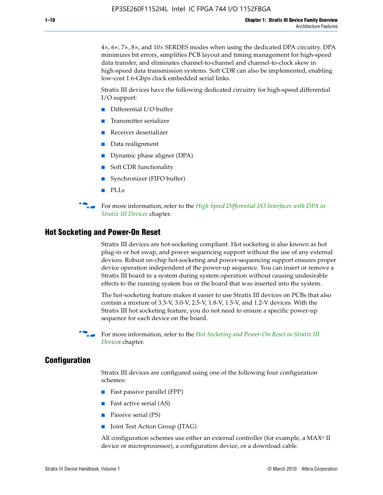4×, 6×, 7×, 8×, and 10× SERDES modes when using the dedicated DPA circuitry. DPA minimizes bit errors, simplifies PCB layout and timing management for high-speed data transfer, and eliminates channel-to-channel and channel-to-clock skew in high-speed data transmission systems. Soft CDR can also be implemented, enabling low-cost 1.6-Gbps clock embedded serial links.

Stratix III devices have the following dedicated circuitry for high-speed differential I/O support:

- Differential I/O buffer
- Transmitter serializer
- Receiver deserializer
- Data realignment
- Dynamic phase aligner (DPA)
- Soft CDR functionality
- Synchronizer (FIFO buffer)
- PLLs

**For more information, refer to the** *High Speed Differential I/O Interfaces with DPA in [Stratix III Devices](http://www.altera.com/literature/hb/stx3/stx3_siii51009.pdf)* chapter.

#### **Hot Socketing and Power-On Reset**

Stratix III devices are hot-socketing compliant. Hot socketing is also known as hot plug-in or hot swap, and power sequencing support without the use of any external devices. Robust on-chip hot-socketing and power-sequencing support ensures proper device operation independent of the power-up sequence. You can insert or remove a Stratix III board in a system during system operation without causing undesirable effects to the running system bus or the board that was inserted into the system.

The hot-socketing feature makes it easier to use Stratix III devices on PCBs that also contain a mixture of 3.3-V, 3.0-V, 2.5-V, 1.8-V, 1.5-V, and 1.2-V devices. With the Stratix III hot socketing feature, you do not need to ensure a specific power-up sequence for each device on the board.

f For more information, refer to the *[Hot Socketing and Power-On Reset in Stratix III](http://www.altera.com/literature/hb/stx3/stx3_siii51010.pdf)  [Device](http://www.altera.com/literature/hb/stx3/stx3_siii51010.pdf)s* chapter.

#### **Configuration**

Stratix III devices are configured using one of the following four configuration schemes:

- Fast passive parallel (FPP)
- Fast active serial (AS)
- Passive serial (PS)
- Joint Test Action Group (JTAG)

All configuration schemes use either an external controller (for example, a  $MAX<sup>®</sup>$  II device or microprocessor), a configuration device, or a download cable.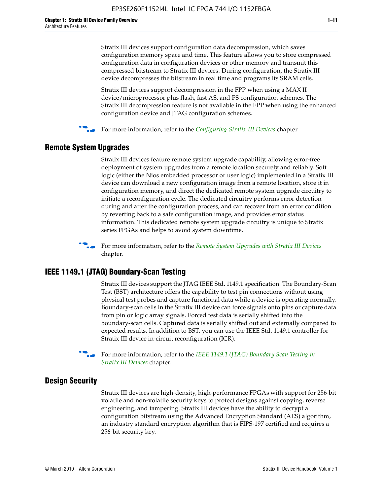Stratix III devices support configuration data decompression, which saves configuration memory space and time. This feature allows you to store compressed configuration data in configuration devices or other memory and transmit this compressed bitstream to Stratix III devices. During configuration, the Stratix III device decompresses the bitstream in real time and programs its SRAM cells.

Stratix III devices support decompression in the FPP when using a MAX II device/microprocessor plus flash, fast AS, and PS configuration schemes. The Stratix III decompression feature is not available in the FPP when using the enhanced configuration device and JTAG configuration schemes.

For more information, refer to the *[Configuring Stratix III Devices](http://www.altera.com/literature/hb/stx3/stx3_siii51011.pdf)* chapter.

## **Remote System Upgrades**

Stratix III devices feature remote system upgrade capability, allowing error-free deployment of system upgrades from a remote location securely and reliably. Soft logic (either the Nios embedded processor or user logic) implemented in a Stratix III device can download a new configuration image from a remote location, store it in configuration memory, and direct the dedicated remote system upgrade circuitry to initiate a reconfiguration cycle. The dedicated circuitry performs error detection during and after the configuration process, and can recover from an error condition by reverting back to a safe configuration image, and provides error status information. This dedicated remote system upgrade circuitry is unique to Stratix series FPGAs and helps to avoid system downtime.



**For more information, refer to the** *[Remote System Upgrades with Stratix III Devices](http://www.altera.com/literature/hb/stx3/stx3_siii51012.pdf)* chapter.

## **IEEE 1149.1 (JTAG) Boundary-Scan Testing**

Stratix III devices support the JTAG IEEE Std. 1149.1 specification. The Boundary-Scan Test (BST) architecture offers the capability to test pin connections without using physical test probes and capture functional data while a device is operating normally. Boundary-scan cells in the Stratix III device can force signals onto pins or capture data from pin or logic array signals. Forced test data is serially shifted into the boundary-scan cells. Captured data is serially shifted out and externally compared to expected results. In addition to BST, you can use the IEEE Std. 1149.1 controller for Stratix III device in-circuit reconfiguration (ICR).

For more information, refer to the *IEEE 1149.1 (JTAG) Boundary Scan Testing in [Stratix III Devices](http://www.altera.com/literature/hb/stx3/stx3_siii51013.pdf)* chapter.

## **Design Security**

Stratix III devices are high-density, high-performance FPGAs with support for 256-bit volatile and non-volatile security keys to protect designs against copying, reverse engineering, and tampering. Stratix III devices have the ability to decrypt a configuration bitstream using the Advanced Encryption Standard (AES) algorithm, an industry standard encryption algorithm that is FIPS-197 certified and requires a 256-bit security key.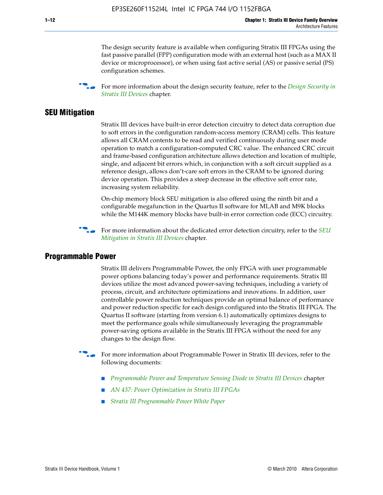The design security feature is available when configuring Stratix III FPGAs using the fast passive parallel (FPP) configuration mode with an external host (such as a MAX II device or microprocessor), or when using fast active serial (AS) or passive serial (PS) configuration schemes.

f For more information about the design security feature, refer to the *[Design Security in](http://www.altera.com/literature/hb/stx3/stx3_siii51014.pdf)  [Stratix III Devices](http://www.altera.com/literature/hb/stx3/stx3_siii51014.pdf)* chapter.

#### **SEU Mitigation**

Stratix III devices have built-in error detection circuitry to detect data corruption due to soft errors in the configuration random-access memory (CRAM) cells. This feature allows all CRAM contents to be read and verified continuously during user mode operation to match a configuration-computed CRC value. The enhanced CRC circuit and frame-based configuration architecture allows detection and location of multiple, single, and adjacent bit errors which, in conjunction with a soft circuit supplied as a reference design, allows don't-care soft errors in the CRAM to be ignored during device operation. This provides a steep decrease in the effective soft error rate, increasing system reliability.

On-chip memory block SEU mitigation is also offered using the ninth bit and a configurable megafunction in the Quartus II software for MLAB and M9K blocks while the M144K memory blocks have built-in error correction code (ECC) circuitry.

For more information about the dedicated error detection circuitry, refer to the *SEU [Mitigation in Stratix III Devices](http://www.altera.com/literature/hb/stx3/stx3_siii51015.pdf)* chapter.

#### **Programmable Power**

Stratix III delivers Programmable Power, the only FPGA with user programmable power options balancing today's power and performance requirements. Stratix III devices utilize the most advanced power-saving techniques, including a variety of process, circuit, and architecture optimizations and innovations. In addition, user controllable power reduction techniques provide an optimal balance of performance and power reduction specific for each design configured into the Stratix III FPGA. The Quartus II software (starting from version 6.1) automatically optimizes designs to meet the performance goals while simultaneously leveraging the programmable power-saving options available in the Stratix III FPGA without the need for any changes to the design flow.

For more information about Programmable Power in Stratix III devices, refer to the following documents:

- *[Programmable Power and Temperature Sensing Diode in Stratix III Devices](http://www.altera.com/literature/hb/stx3/stx3_siii51016.pdf)* chapter
- *[AN 437: Power Optimization in Stratix III FPGAs](http://www.altera.com/literature/an/AN437.pdf)*
- *[Stratix III Programmable Power White Paper](http://www.altera.com/literature/wp/wp-01006.pdf)*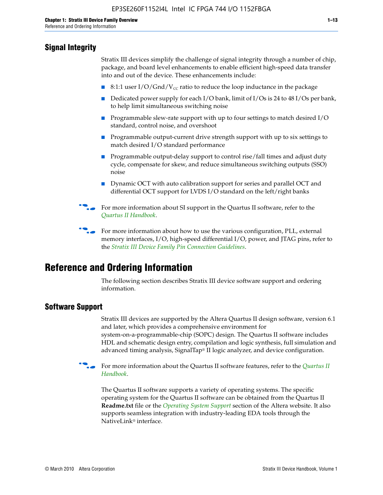## **Signal Integrity**

Stratix III devices simplify the challenge of signal integrity through a number of chip, package, and board level enhancements to enable efficient high-speed data transfer into and out of the device. These enhancements include:

- 8:1:1 user I/O/Gnd/V<sub>cc</sub> ratio to reduce the loop inductance in the package
- Dedicated power supply for each I/O bank, limit of I/Os is 24 to 48 I/Os per bank, to help limit simultaneous switching noise
- Programmable slew-rate support with up to four settings to match desired I/O standard, control noise, and overshoot
- Programmable output-current drive strength support with up to six settings to match desired I/O standard performance
- Programmable output-delay support to control rise/fall times and adjust duty cycle, compensate for skew, and reduce simultaneous switching outputs (SSO) noise
- Dynamic OCT with auto calibration support for series and parallel OCT and differential OCT support for LVDS I/O standard on the left/right banks
- For mor[e](http://www.altera.com/literature/hb/qts/quartusii_handbook.pdf) information about SI support in the Quartus II software, refer to the *[Quartus II Handbook](http://www.altera.com/literature/hb/qts/quartusii_handbook.pdf)*.

For more information about how to use the various configuration, PLL, external memory interfaces, I/O, high-speed differential I/O, power, and JTAG pins, refer to the *[Stratix III Device Family Pin Connection Guidelines](http://www.altera.com/literature/dp/stx3/PCG-01004.pdf)*.

# **Reference and Ordering Information**

The following section describes Stratix III device software support and ordering information.

## **Software Support**

Stratix III devices are supported by the Altera Quartus II design software, version 6.1 and later, which provides a comprehensive environment for system-on-a-programmable-chip (SOPC) design. The Quartus II software includes HDL and schematic design entry, compilation and logic synthesis, full simulation and advanced timing analysis, SignalTap® II logic analyzer, and device configuration.

**For more information about the [Quartus II](http://www.altera.com/literature/hb/qts/quartusii_handbook.pdf) software features, refer to the** *Quartus II* **<b>Fig. 7** *[Handbook](http://www.altera.com/literature/hb/qts/quartusii_handbook.pdf)*.

The Quartus II software supports a variety of operating systems. The specific operating system for the Quartus II software can be obtained from the Quartus II **Readme.txt** file or the *[Operating System Support](http://www.altera.com/support/software/os_support/oss-index.html)* section of the Altera website. It also supports seamless integration with industry-leading EDA tools through the NativeLink® interface.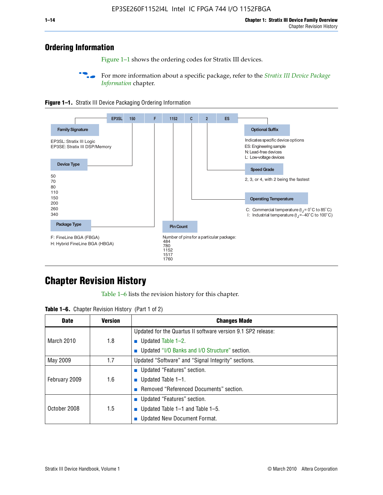## **Ordering Information**

Figure 1–1 shows the ordering codes for Stratix III devices.

For more information about a specific package, refer to the *Stratix III Device Package [Information](http://www.altera.com/literature/hb/stx3/stx3_siii51017.pdf)* chapter.





# **[C](http://www.altera.com/literature/hb/stx3/stx3_siii51012.pdf)hapter Revision History**

Table 1–6 lists the revision history for this chapter.

| <b>Table 1–6.</b> Chapter Revision History (Part 1 of 2) |  |  |  |  |  |
|----------------------------------------------------------|--|--|--|--|--|
|----------------------------------------------------------|--|--|--|--|--|

| <b>Date</b>       | <b>Version</b> | <b>Changes Made</b>                                          |
|-------------------|----------------|--------------------------------------------------------------|
|                   |                | Updated for the Quartus II software version 9.1 SP2 release: |
| <b>March 2010</b> | 1.8            | <b>u</b> Updated Table $1-2$ .                               |
|                   |                | ■ Updated "I/O Banks and I/O Structure" section.             |
| May 2009          | 1.7            | Updated "Software" and "Signal Integrity" sections.          |
|                   |                | ■ Updated "Features" section.                                |
| February 2009     | 1.6            | <b>u</b> Updated Table $1-1$ .                               |
|                   |                | Removed "Referenced Documents" section.                      |
|                   |                | ■ Updated "Features" section.                                |
| October 2008      | 1.5            | ■ Updated Table $1-1$ and Table $1-5$ .                      |
|                   |                | Updated New Document Format.                                 |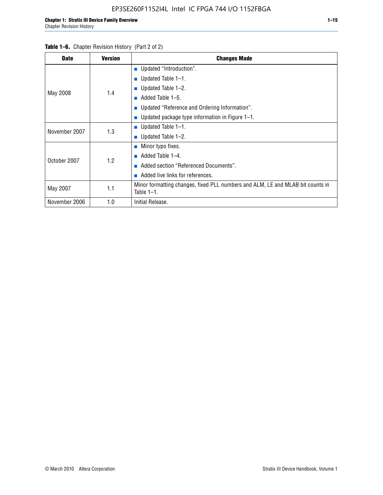#### Table 1–6. Chapter Revision History (Part 2 of 2)

| <b>Date</b>   | <b>Version</b> | <b>Changes Made</b>                                                                             |
|---------------|----------------|-------------------------------------------------------------------------------------------------|
|               |                | <b>Updated "Introduction".</b>                                                                  |
|               |                | Updated Table 1-1.                                                                              |
|               | 1.4            | ■ Updated Table $1-2$ .                                                                         |
| May 2008      |                | Added Table 1-5.<br>ш                                                                           |
|               |                | Updated "Reference and Ordering Information".                                                   |
|               |                | ■ Updated package type information in Figure $1-1$ .                                            |
| November 2007 | 1.3            | ■ Updated Table $1-1$ .                                                                         |
|               |                | ■ Updated Table $1-2$ .                                                                         |
|               |                | ■ Minor typo fixes.                                                                             |
| October 2007  | 1.2            | Added Table 1-4.                                                                                |
|               |                | Added section "Referenced Documents".<br>m.                                                     |
|               |                | Added live links for references.                                                                |
| May 2007      | 1.1            | Minor formatting changes, fixed PLL numbers and ALM, LE and MLAB bit counts in<br>Table $1-1$ . |
| November 2006 | 1.0            | Initial Release.                                                                                |